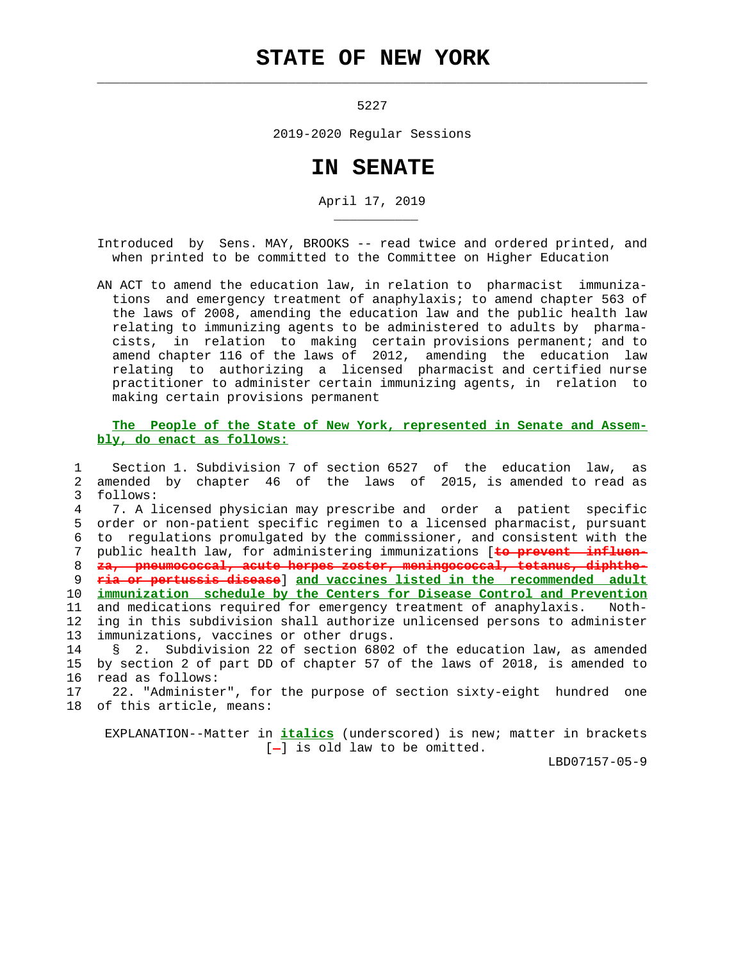## **STATE OF NEW YORK**

 $\mathcal{L}_\text{max} = \frac{1}{2} \sum_{i=1}^{n} \frac{1}{2} \sum_{i=1}^{n} \frac{1}{2} \sum_{i=1}^{n} \frac{1}{2} \sum_{i=1}^{n} \frac{1}{2} \sum_{i=1}^{n} \frac{1}{2} \sum_{i=1}^{n} \frac{1}{2} \sum_{i=1}^{n} \frac{1}{2} \sum_{i=1}^{n} \frac{1}{2} \sum_{i=1}^{n} \frac{1}{2} \sum_{i=1}^{n} \frac{1}{2} \sum_{i=1}^{n} \frac{1}{2} \sum_{i=1}^{n} \frac{1$ 

\_\_\_\_\_\_\_\_\_\_\_

5227

2019-2020 Regular Sessions

## **IN SENATE**

April 17, 2019

 Introduced by Sens. MAY, BROOKS -- read twice and ordered printed, and when printed to be committed to the Committee on Higher Education

 AN ACT to amend the education law, in relation to pharmacist immuniza tions and emergency treatment of anaphylaxis; to amend chapter 563 of the laws of 2008, amending the education law and the public health law relating to immunizing agents to be administered to adults by pharma cists, in relation to making certain provisions permanent; and to amend chapter 116 of the laws of 2012, amending the education law relating to authorizing a licensed pharmacist and certified nurse practitioner to administer certain immunizing agents, in relation to making certain provisions permanent

## **The People of the State of New York, represented in Senate and Assem bly, do enact as follows:**

 1 Section 1. Subdivision 7 of section 6527 of the education law, as 2 amended by chapter 46 of the laws of 2015, is amended to read as 3 follows: 4 7. A licensed physician may prescribe and order a patient specific 5 order or non-patient specific regimen to a licensed pharmacist, pursuant 6 to regulations promulgated by the commissioner, and consistent with the 7 public health law, for administering immunizations [**to prevent influen-** 8 **za, pneumococcal, acute herpes zoster, meningococcal, tetanus, diphthe-** 9 **ria or pertussis disease**] **and vaccines listed in the recommended adult** 10 **immunization schedule by the Centers for Disease Control and Prevention** 11 and medications required for emergency treatment of anaphylaxis. Noth- 12 ing in this subdivision shall authorize unlicensed persons to administer 13 immunizations, vaccines or other drugs. 14 § 2. Subdivision 22 of section 6802 of the education law, as amended 15 by section 2 of part DD of chapter 57 of the laws of 2018, is amended to 16 read as follows:

 17 22. "Administer", for the purpose of section sixty-eight hundred one 18 of this article, means:

 EXPLANATION--Matter in **italics** (underscored) is new; matter in brackets  $[-]$  is old law to be omitted.

LBD07157-05-9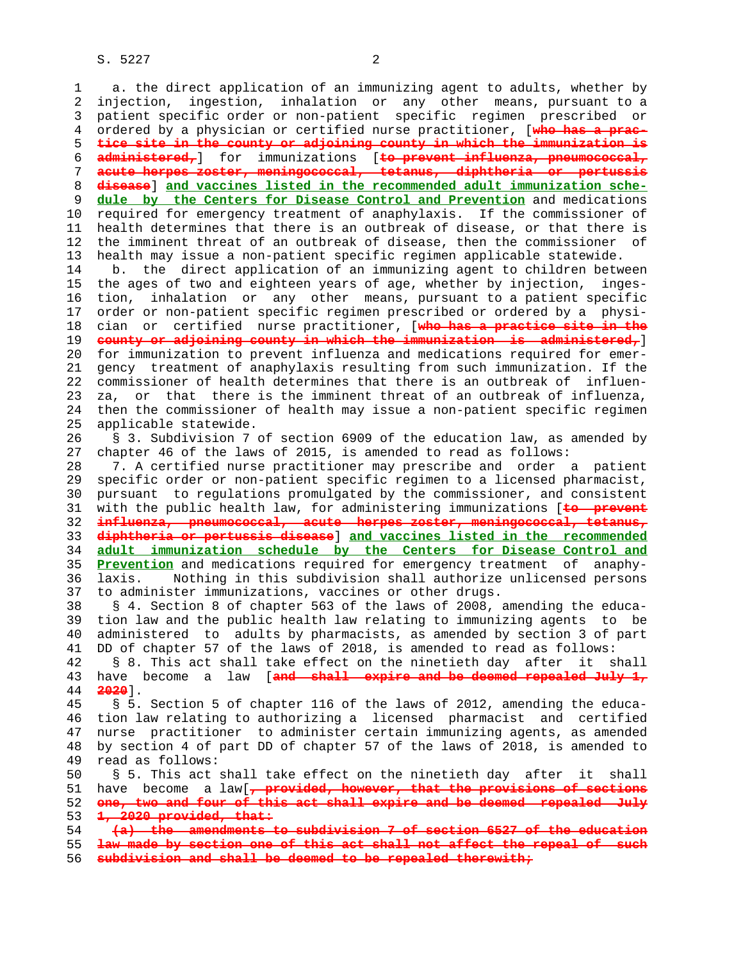S. 5227 2

 1 a. the direct application of an immunizing agent to adults, whether by 2 injection, ingestion, inhalation or any other means, pursuant to a 3 patient specific order or non-patient specific regimen prescribed or 4 ordered by a physician or certified nurse practitioner, [**who has a prac-** 5 **tice site in the county or adjoining county in which the immunization is** 6 **administered,**] for immunizations [**to prevent influenza, pneumococcal,** 7 **acute herpes zoster, meningococcal, tetanus, diphtheria or pertussis** 8 **disease**] **and vaccines listed in the recommended adult immunization sche-** 9 **dule by the Centers for Disease Control and Prevention** and medications 10 required for emergency treatment of anaphylaxis. If the commissioner of 11 health determines that there is an outbreak of disease, or that there is 12 the imminent threat of an outbreak of disease, then the commissioner of 13 health may issue a non-patient specific regimen applicable statewide. 14 b. the direct application of an immunizing agent to children between 15 the ages of two and eighteen years of age, whether by injection, inges- 16 tion, inhalation or any other means, pursuant to a patient specific 17 order or non-patient specific regimen prescribed or ordered by a physi- 18 cian or certified nurse practitioner, [**who has a practice site in the** 19 **county or adjoining county in which the immunization is administered,**] 20 for immunization to prevent influenza and medications required for emer- 21 gency treatment of anaphylaxis resulting from such immunization. If the 22 commissioner of health determines that there is an outbreak of influen- 23 za, or that there is the imminent threat of an outbreak of influenza, 24 then the commissioner of health may issue a non-patient specific regimen 25 applicable statewide. 26 § 3. Subdivision 7 of section 6909 of the education law, as amended by 27 chapter 46 of the laws of 2015, is amended to read as follows: 28 7. A certified nurse practitioner may prescribe and order a patient 29 specific order or non-patient specific regimen to a licensed pharmacist, 30 pursuant to regulations promulgated by the commissioner, and consistent 31 with the public health law, for administering immunizations [**to prevent** 32 **influenza, pneumococcal, acute herpes zoster, meningococcal, tetanus,** 33 **diphtheria or pertussis disease**] **and vaccines listed in the recommended** 34 **adult immunization schedule by the Centers for Disease Control and** 35 **Prevention** and medications required for emergency treatment of anaphy- 36 laxis. Nothing in this subdivision shall authorize unlicensed persons 37 to administer immunizations, vaccines or other drugs. 38 § 4. Section 8 of chapter 563 of the laws of 2008, amending the educa- 39 tion law and the public health law relating to immunizing agents to be 40 administered to adults by pharmacists, as amended by section 3 of part 41 DD of chapter 57 of the laws of 2018, is amended to read as follows: 42 § 8. This act shall take effect on the ninetieth day after it shall 43 have become a law [**and shall expire and be deemed repealed July 1,** 44 **2020**]. 45 § 5. Section 5 of chapter 116 of the laws of 2012, amending the educa- 46 tion law relating to authorizing a licensed pharmacist and certified 47 nurse practitioner to administer certain immunizing agents, as amended 48 by section 4 of part DD of chapter 57 of the laws of 2018, is amended to 49 read as follows: 50 § 5. This act shall take effect on the ninetieth day after it shall 51 have become a law[**, provided, however, that the provisions of sections** 52 **one, two and four of this act shall expire and be deemed repealed July** 53 **1, 2020 provided, that:** 54 **(a) the amendments to subdivision 7 of section 6527 of the education** 55 **law made by section one of this act shall not affect the repeal of such** 56 **subdivision and shall be deemed to be repealed therewith;**